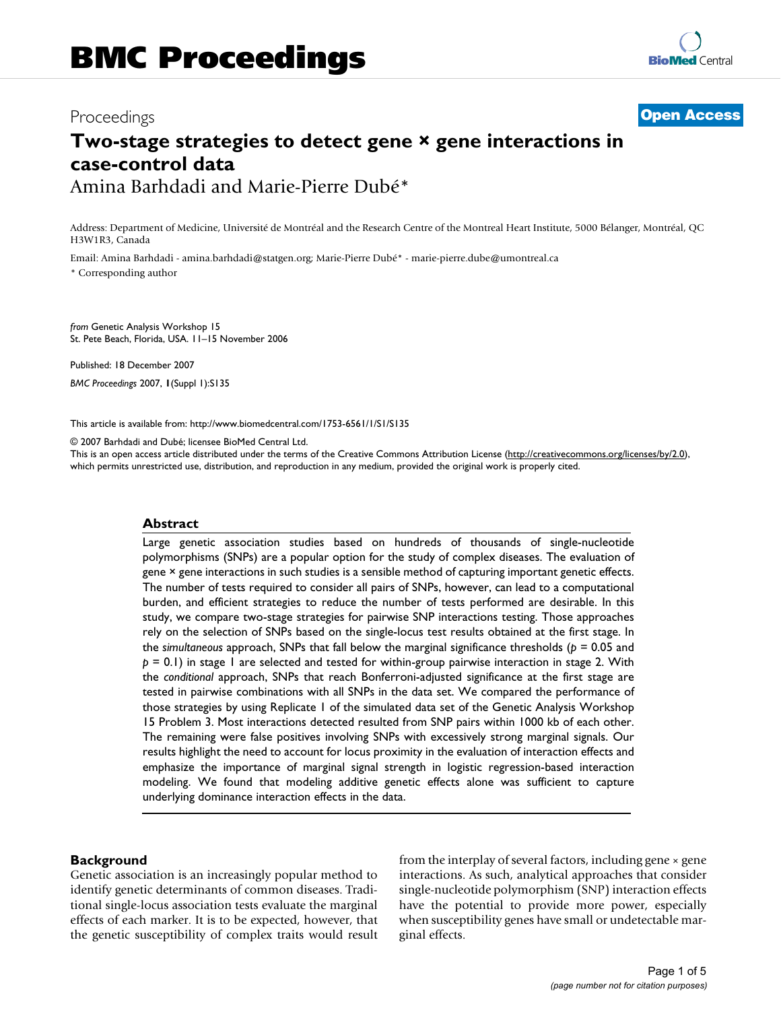# Proceedings **[Open Access](http://www.biomedcentral.com/info/about/charter/)**

# **Two-stage strategies to detect gene × gene interactions in case-control data** Amina Barhdadi and Marie-Pierre Dubé\*

Address: Department of Medicine, Université de Montréal and the Research Centre of the Montreal Heart Institute, 5000 Bélanger, Montréal, QC H3W1R3, Canada

Email: Amina Barhdadi - amina.barhdadi@statgen.org; Marie-Pierre Dubé\* - marie-pierre.dube@umontreal.ca \* Corresponding author

*from* Genetic Analysis Workshop 15 St. Pete Beach, Florida, USA. 11–15 November 2006

Published: 18 December 2007 *BMC Proceedings* 2007, **1**(Suppl 1):S135

[This article is available from: http://www.biomedcentral.com/1753-6561/1/S1/S135](http://www.biomedcentral.com/1753-6561/1/S1/S135)

© 2007 Barhdadi and Dubé; licensee BioMed Central Ltd.

This is an open access article distributed under the terms of the Creative Commons Attribution License [\(http://creativecommons.org/licenses/by/2.0\)](http://creativecommons.org/licenses/by/2.0), which permits unrestricted use, distribution, and reproduction in any medium, provided the original work is properly cited.

# **Abstract**

Large genetic association studies based on hundreds of thousands of single-nucleotide polymorphisms (SNPs) are a popular option for the study of complex diseases. The evaluation of gene × gene interactions in such studies is a sensible method of capturing important genetic effects. The number of tests required to consider all pairs of SNPs, however, can lead to a computational burden, and efficient strategies to reduce the number of tests performed are desirable. In this study, we compare two-stage strategies for pairwise SNP interactions testing. Those approaches rely on the selection of SNPs based on the single-locus test results obtained at the first stage. In the *simultaneous* approach, SNPs that fall below the marginal significance thresholds (*p* = 0.05 and *p* = 0.1) in stage 1 are selected and tested for within-group pairwise interaction in stage 2. With the *conditional* approach, SNPs that reach Bonferroni-adjusted significance at the first stage are tested in pairwise combinations with all SNPs in the data set. We compared the performance of those strategies by using Replicate 1 of the simulated data set of the Genetic Analysis Workshop 15 Problem 3. Most interactions detected resulted from SNP pairs within 1000 kb of each other. The remaining were false positives involving SNPs with excessively strong marginal signals. Our results highlight the need to account for locus proximity in the evaluation of interaction effects and emphasize the importance of marginal signal strength in logistic regression-based interaction modeling. We found that modeling additive genetic effects alone was sufficient to capture underlying dominance interaction effects in the data.

# **Background**

Genetic association is an increasingly popular method to identify genetic determinants of common diseases. Traditional single-locus association tests evaluate the marginal effects of each marker. It is to be expected, however, that the genetic susceptibility of complex traits would result from the interplay of several factors, including gene  $\times$  gene interactions. As such, analytical approaches that consider single-nucleotide polymorphism (SNP) interaction effects have the potential to provide more power, especially when susceptibility genes have small or undetectable marginal effects.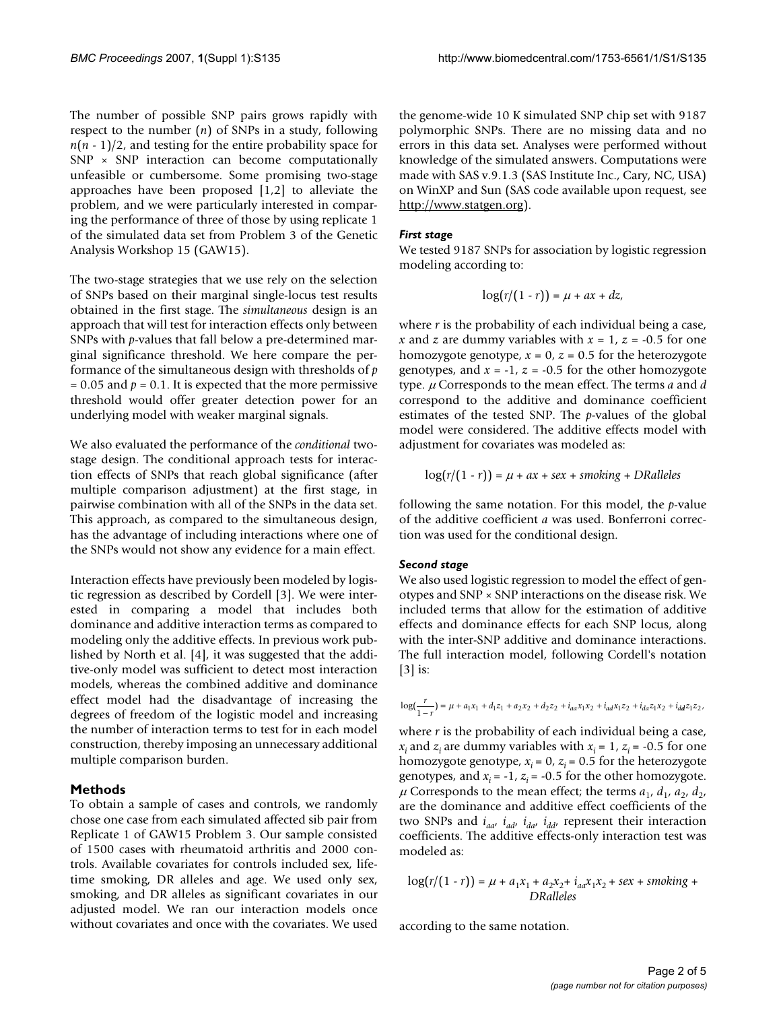The number of possible SNP pairs grows rapidly with respect to the number (*n*) of SNPs in a study, following  $n(n-1)/2$ , and testing for the entire probability space for  $SNP \times SNP$  interaction can become computationally unfeasible or cumbersome. Some promising two-stage approaches have been proposed [1,2] to alleviate the problem, and we were particularly interested in comparing the performance of three of those by using replicate 1 of the simulated data set from Problem 3 of the Genetic Analysis Workshop 15 (GAW15).

The two-stage strategies that we use rely on the selection of SNPs based on their marginal single-locus test results obtained in the first stage. The *simultaneous* design is an approach that will test for interaction effects only between SNPs with *p*-values that fall below a pre-determined marginal significance threshold. We here compare the performance of the simultaneous design with thresholds of *p*  $= 0.05$  and  $p = 0.1$ . It is expected that the more permissive threshold would offer greater detection power for an underlying model with weaker marginal signals.

We also evaluated the performance of the *conditional* twostage design. The conditional approach tests for interaction effects of SNPs that reach global significance (after multiple comparison adjustment) at the first stage, in pairwise combination with all of the SNPs in the data set. This approach, as compared to the simultaneous design, has the advantage of including interactions where one of the SNPs would not show any evidence for a main effect.

Interaction effects have previously been modeled by logistic regression as described by Cordell [3]. We were interested in comparing a model that includes both dominance and additive interaction terms as compared to modeling only the additive effects. In previous work published by North et al. [4], it was suggested that the additive-only model was sufficient to detect most interaction models, whereas the combined additive and dominance effect model had the disadvantage of increasing the degrees of freedom of the logistic model and increasing the number of interaction terms to test for in each model construction, thereby imposing an unnecessary additional multiple comparison burden.

# **Methods**

To obtain a sample of cases and controls, we randomly chose one case from each simulated affected sib pair from Replicate 1 of GAW15 Problem 3. Our sample consisted of 1500 cases with rheumatoid arthritis and 2000 controls. Available covariates for controls included sex, lifetime smoking, DR alleles and age. We used only sex, smoking, and DR alleles as significant covariates in our adjusted model. We ran our interaction models once without covariates and once with the covariates. We used the genome-wide 10 K simulated SNP chip set with 9187 polymorphic SNPs. There are no missing data and no errors in this data set. Analyses were performed without knowledge of the simulated answers. Computations were made with SAS v.9.1.3 (SAS Institute Inc., Cary, NC, USA) on WinXP and Sun (SAS code available upon request, see <http://www.statgen.org>).

## *First stage*

We tested 9187 SNPs for association by logistic regression modeling according to:

$$
\log(r/(1-r)) = \mu + ax + dz,
$$

where *r* is the probability of each individual being a case, *x* and *z* are dummy variables with  $x = 1$ ,  $z = -0.5$  for one homozygote genotype,  $x = 0$ ,  $z = 0.5$  for the heterozygote genotypes, and  $x = -1$ ,  $z = -0.5$  for the other homozygote type. <sup>μ</sup> Corresponds to the mean effect. The terms *a* and *d* correspond to the additive and dominance coefficient estimates of the tested SNP. The *p*-values of the global model were considered. The additive effects model with adjustment for covariates was modeled as:

$$
log(r/(1-r)) = \mu + ax + sex + smoking + DRalleles
$$

following the same notation. For this model, the *p*-value of the additive coefficient *a* was used. Bonferroni correction was used for the conditional design.

#### *Second stage*

We also used logistic regression to model the effect of genotypes and SNP × SNP interactions on the disease risk. We included terms that allow for the estimation of additive effects and dominance effects for each SNP locus, along with the inter-SNP additive and dominance interactions. The full interaction model, following Cordell's notation [3] is:

$$
\log(\frac{r}{1-r})=\mu+a_1x_1+d_1z_1+a_2x_2+d_2z_2+i_{aa}x_1x_2+i_{ad}x_1z_2+i_{da}z_1x_2+i_{dd}z_1z_2,
$$

where *r* is the probability of each individual being a case,  $x_i$  and  $z_i$  are dummy variables with  $x_i = 1$ ,  $z_i = -0.5$  for one homozygote genotype,  $x_i = 0$ ,  $z_i = 0.5$  for the heterozygote genotypes, and  $x_i = -1$ ,  $z_i = -0.5$  for the other homozygote. μ Corresponds to the mean effect; the terms  $a_1$ ,  $d_1$ ,  $a_2$ ,  $d_2$ , are the dominance and additive effect coefficients of the two SNPs and *iaa*, *iad*, *ida*, *idd*, represent their interaction coefficients. The additive effects-only interaction test was modeled as:

$$
log(r/(1-r)) = \mu + a_1x_1 + a_2x_2 + i_{aa}x_1x_2 + sex + smoking + DRalleles
$$

according to the same notation.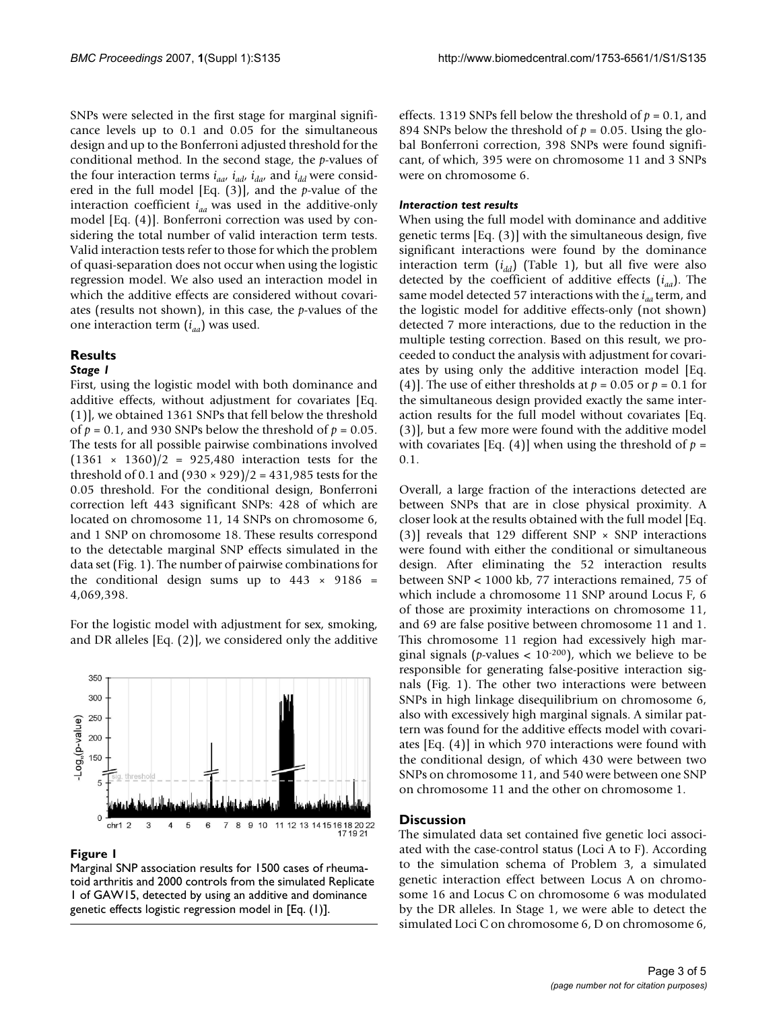SNPs were selected in the first stage for marginal significance levels up to 0.1 and 0.05 for the simultaneous design and up to the Bonferroni adjusted threshold for the conditional method. In the second stage, the *p*-values of the four interaction terms  $i_{ad}$ ,  $i_{ad}$ ,  $i_{ad}$ , and  $i_{dd}$  were considered in the full model [Eq. (3)], and the *p*-value of the interaction coefficient  $i_{aa}$  was used in the additive-only model [Eq. (4)]. Bonferroni correction was used by considering the total number of valid interaction term tests. Valid interaction tests refer to those for which the problem of quasi-separation does not occur when using the logistic regression model. We also used an interaction model in which the additive effects are considered without covariates (results not shown), in this case, the *p*-values of the one interaction term (*iaa*) was used.

# **Results**

# *Stage 1*

First, using the logistic model with both dominance and additive effects, without adjustment for covariates [Eq. (1)], we obtained 1361 SNPs that fell below the threshold of  $p = 0.1$ , and 930 SNPs below the threshold of  $p = 0.05$ . The tests for all possible pairwise combinations involved  $(1361 \times 1360)/2 = 925,480$  interaction tests for the threshold of 0.1 and  $(930 \times 929)/2 = 431,985$  tests for the 0.05 threshold. For the conditional design, Bonferroni correction left 443 significant SNPs: 428 of which are located on chromosome 11, 14 SNPs on chromosome 6, and 1 SNP on chromosome 18. These results correspond to the detectable marginal SNP effects simulated in the data set (Fig. 1). The number of pairwise combinations for the conditional design sums up to  $443 \times 9186 =$ 4,069,398.

For the logistic model with adjustment for sex, smoking, and DR alleles [Eq. (2)], we considered only the additive



#### **Figure I**

Marginal SNP association results for 1500 cases of rheumatoid arthritis and 2000 controls from the simulated Replicate 1 of GAW15, detected by using an additive and dominance genetic effects logistic regression model in [Eq. (1)].

effects. 1319 SNPs fell below the threshold of *p* = 0.1, and 894 SNPs below the threshold of  $p = 0.05$ . Using the global Bonferroni correction, 398 SNPs were found significant, of which, 395 were on chromosome 11 and 3 SNPs were on chromosome 6.

## *Interaction test results*

When using the full model with dominance and additive genetic terms [Eq. (3)] with the simultaneous design, five significant interactions were found by the dominance interaction term  $(i_{dd})$  (Table 1), but all five were also detected by the coefficient of additive effects (*iaa*). The same model detected 57 interactions with the *iaa* term, and the logistic model for additive effects-only (not shown) detected 7 more interactions, due to the reduction in the multiple testing correction. Based on this result, we proceeded to conduct the analysis with adjustment for covariates by using only the additive interaction model [Eq. (4)]. The use of either thresholds at  $p = 0.05$  or  $p = 0.1$  for the simultaneous design provided exactly the same interaction results for the full model without covariates [Eq. (3)], but a few more were found with the additive model with covariates [Eq.  $(4)$ ] when using the threshold of  $p =$ 0.1.

Overall, a large fraction of the interactions detected are between SNPs that are in close physical proximity. A closer look at the results obtained with the full model [Eq. (3)] reveals that 129 different SNP  $\times$  SNP interactions were found with either the conditional or simultaneous design. After eliminating the 52 interaction results between SNP < 1000 kb, 77 interactions remained, 75 of which include a chromosome 11 SNP around Locus F, 6 of those are proximity interactions on chromosome 11, and 69 are false positive between chromosome 11 and 1. This chromosome 11 region had excessively high marginal signals ( $p$ -values <  $10^{-200}$ ), which we believe to be responsible for generating false-positive interaction signals (Fig. 1). The other two interactions were between SNPs in high linkage disequilibrium on chromosome 6, also with excessively high marginal signals. A similar pattern was found for the additive effects model with covariates [Eq. (4)] in which 970 interactions were found with the conditional design, of which 430 were between two SNPs on chromosome 11, and 540 were between one SNP on chromosome 11 and the other on chromosome 1.

# **Discussion**

The simulated data set contained five genetic loci associated with the case-control status (Loci A to F). According to the simulation schema of Problem 3, a simulated genetic interaction effect between Locus A on chromosome 16 and Locus C on chromosome 6 was modulated by the DR alleles. In Stage 1, we were able to detect the simulated Loci C on chromosome 6, D on chromosome 6,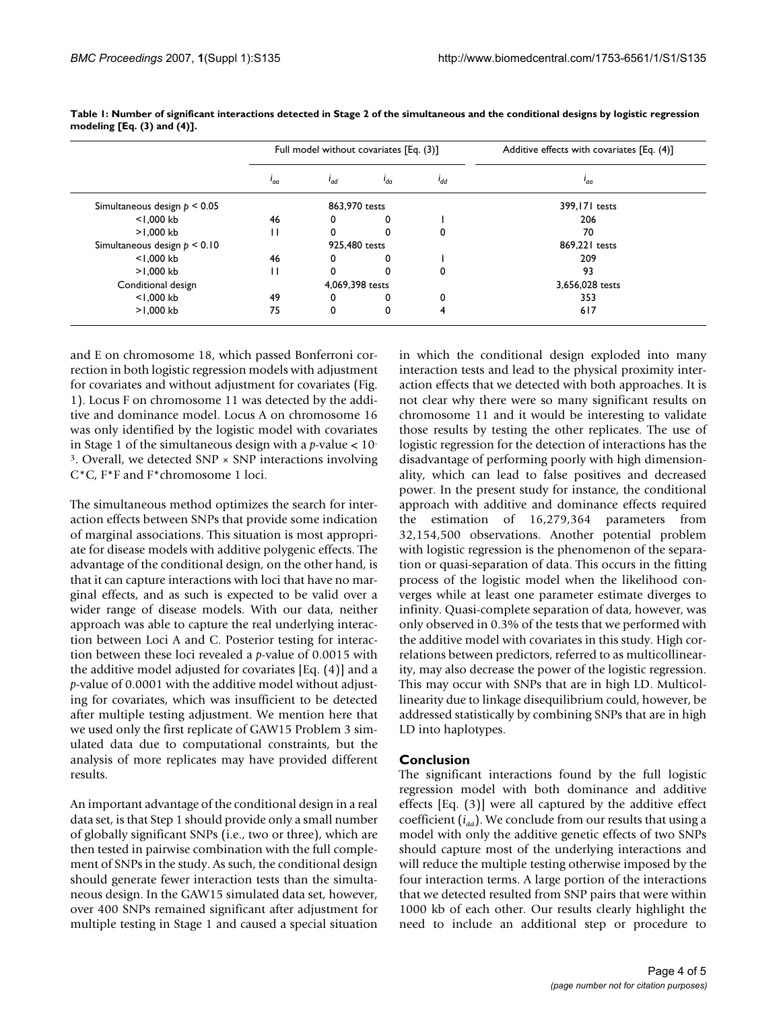|                                | Full model without covariates [Eq. (3)] |          |          |          | Additive effects with covariates [Eq. (4)] |
|--------------------------------|-----------------------------------------|----------|----------|----------|--------------------------------------------|
|                                | 'aa                                     | $I_{ad}$ | $I_{da}$ | $I_{dd}$ | 'aa                                        |
| Simultaneous design $p < 0.05$ | 863,970 tests                           |          |          |          | 399,171 tests                              |
| $<$ 1.000 kb                   | 46                                      |          |          |          | 206                                        |
| $>1.000$ kb                    | П                                       |          |          | 0        | 70                                         |
| Simultaneous design $p < 0.10$ | 925,480 tests                           |          |          |          | 869,221 tests                              |
| $<$ 1.000 kb                   | 46                                      |          |          |          | 209                                        |
| $>1.000$ kb                    | $\mathsf{L}$                            |          |          | 0        | 93                                         |
| Conditional design             | 4,069,398 tests                         |          |          |          | 3,656,028 tests                            |
| $<$ 1.000 kb                   | 49                                      |          | 0        | 0        | 353                                        |
| $>1.000$ kb                    | 75                                      | 0        | 0        | 4        | 617                                        |

**Table 1: Number of significant interactions detected in Stage 2 of the simultaneous and the conditional designs by logistic regression modeling [Eq. (3) and (4)].**

and E on chromosome 18, which passed Bonferroni correction in both logistic regression models with adjustment for covariates and without adjustment for covariates (Fig. 1). Locus F on chromosome 11 was detected by the additive and dominance model. Locus A on chromosome 16 was only identified by the logistic model with covariates in Stage 1 of the simultaneous design with a *p*-value < 10- <sup>3</sup>. Overall, we detected SNP  $\times$  SNP interactions involving C\*C, F\*F and F\*chromosome 1 loci.

The simultaneous method optimizes the search for interaction effects between SNPs that provide some indication of marginal associations. This situation is most appropriate for disease models with additive polygenic effects. The advantage of the conditional design, on the other hand, is that it can capture interactions with loci that have no marginal effects, and as such is expected to be valid over a wider range of disease models. With our data, neither approach was able to capture the real underlying interaction between Loci A and C. Posterior testing for interaction between these loci revealed a *p*-value of 0.0015 with the additive model adjusted for covariates [Eq. (4)] and a *p*-value of 0.0001 with the additive model without adjusting for covariates, which was insufficient to be detected after multiple testing adjustment. We mention here that we used only the first replicate of GAW15 Problem 3 simulated data due to computational constraints, but the analysis of more replicates may have provided different results.

An important advantage of the conditional design in a real data set, is that Step 1 should provide only a small number of globally significant SNPs (i.e., two or three), which are then tested in pairwise combination with the full complement of SNPs in the study. As such, the conditional design should generate fewer interaction tests than the simultaneous design. In the GAW15 simulated data set, however, over 400 SNPs remained significant after adjustment for multiple testing in Stage 1 and caused a special situation

in which the conditional design exploded into many interaction tests and lead to the physical proximity interaction effects that we detected with both approaches. It is not clear why there were so many significant results on chromosome 11 and it would be interesting to validate those results by testing the other replicates. The use of logistic regression for the detection of interactions has the disadvantage of performing poorly with high dimensionality, which can lead to false positives and decreased power. In the present study for instance, the conditional approach with additive and dominance effects required the estimation of 16,279,364 parameters from 32,154,500 observations. Another potential problem with logistic regression is the phenomenon of the separation or quasi-separation of data. This occurs in the fitting process of the logistic model when the likelihood converges while at least one parameter estimate diverges to infinity. Quasi-complete separation of data, however, was only observed in 0.3% of the tests that we performed with the additive model with covariates in this study. High correlations between predictors, referred to as multicollinearity, may also decrease the power of the logistic regression. This may occur with SNPs that are in high LD. Multicollinearity due to linkage disequilibrium could, however, be addressed statistically by combining SNPs that are in high LD into haplotypes.

# **Conclusion**

The significant interactions found by the full logistic regression model with both dominance and additive effects [Eq. (3)] were all captured by the additive effect coefficient  $(i_{aa})$ . We conclude from our results that using a model with only the additive genetic effects of two SNPs should capture most of the underlying interactions and will reduce the multiple testing otherwise imposed by the four interaction terms. A large portion of the interactions that we detected resulted from SNP pairs that were within 1000 kb of each other. Our results clearly highlight the need to include an additional step or procedure to